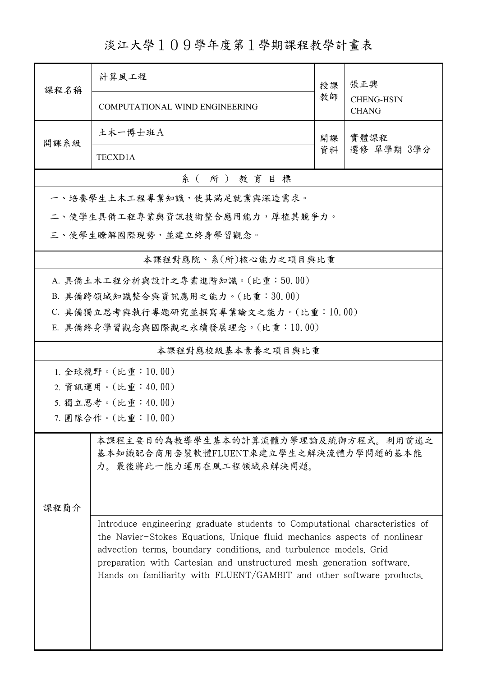淡江大學109學年度第1學期課程教學計畫表

|                                                                                                                                                                                                                                                                                                                                                                               | 計算風工程                                 | 授課       | 張正興<br><b>CHENG-HSIN</b><br><b>CHANG</b> |  |  |  |  |  |  |
|-------------------------------------------------------------------------------------------------------------------------------------------------------------------------------------------------------------------------------------------------------------------------------------------------------------------------------------------------------------------------------|---------------------------------------|----------|------------------------------------------|--|--|--|--|--|--|
| 課程名稱                                                                                                                                                                                                                                                                                                                                                                          | COMPUTATIONAL WIND ENGINEERING        | 教師       |                                          |  |  |  |  |  |  |
| 開課系級                                                                                                                                                                                                                                                                                                                                                                          | 土木一博士班A                               | 開課<br>資料 | 實體課程<br>選修 單學期 3學分                       |  |  |  |  |  |  |
|                                                                                                                                                                                                                                                                                                                                                                               | <b>TECXD1A</b>                        |          |                                          |  |  |  |  |  |  |
| 系(所)教育目標                                                                                                                                                                                                                                                                                                                                                                      |                                       |          |                                          |  |  |  |  |  |  |
|                                                                                                                                                                                                                                                                                                                                                                               | 一、培養學生土木工程專業知識,使其滿足就業與深造需求。           |          |                                          |  |  |  |  |  |  |
|                                                                                                                                                                                                                                                                                                                                                                               | 二、使學生具備工程專業與資訊技術整合應用能力,厚植其競爭力。        |          |                                          |  |  |  |  |  |  |
|                                                                                                                                                                                                                                                                                                                                                                               | 三、使學生瞭解國際現勢,並建立終身學習觀念。                |          |                                          |  |  |  |  |  |  |
|                                                                                                                                                                                                                                                                                                                                                                               | 本課程對應院、系(所)核心能力之項目與比重                 |          |                                          |  |  |  |  |  |  |
|                                                                                                                                                                                                                                                                                                                                                                               | A. 具備土木工程分析與設計之專業進階知識。(比重:50.00)      |          |                                          |  |  |  |  |  |  |
|                                                                                                                                                                                                                                                                                                                                                                               | B. 具備跨領域知識整合與資訊應用之能力。(比重:30.00)       |          |                                          |  |  |  |  |  |  |
|                                                                                                                                                                                                                                                                                                                                                                               | C. 具備獨立思考與執行專題研究並撰寫專業論文之能力。(比重:10.00) |          |                                          |  |  |  |  |  |  |
|                                                                                                                                                                                                                                                                                                                                                                               | E. 具備終身學習觀念與國際觀之永續發展理念。(比重:10.00)     |          |                                          |  |  |  |  |  |  |
|                                                                                                                                                                                                                                                                                                                                                                               | 本課程對應校級基本素養之項目與比重                     |          |                                          |  |  |  |  |  |  |
|                                                                                                                                                                                                                                                                                                                                                                               | 1. 全球視野。(比重: 10.00)                   |          |                                          |  |  |  |  |  |  |
| 2. 資訊運用。(比重:40.00)                                                                                                                                                                                                                                                                                                                                                            |                                       |          |                                          |  |  |  |  |  |  |
|                                                                                                                                                                                                                                                                                                                                                                               | 5. 獨立思考。(比重:40.00)                    |          |                                          |  |  |  |  |  |  |
|                                                                                                                                                                                                                                                                                                                                                                               | 7. 團隊合作。(比重:10.00)                    |          |                                          |  |  |  |  |  |  |
| 本課程主要目的為教導學生基本的計算流體力學理論及統御方程式。利用前述之<br>基本知識配合商用套裝軟體FLUENT來建立學生之解決流體力學問題的基本能<br>力。最後將此一能力運用在風工程領域來解決問題。                                                                                                                                                                                                                                                                        |                                       |          |                                          |  |  |  |  |  |  |
| 课程简介                                                                                                                                                                                                                                                                                                                                                                          |                                       |          |                                          |  |  |  |  |  |  |
| Introduce engineering graduate students to Computational characteristics of<br>the Navier-Stokes Equations. Unique fluid mechanics aspects of nonlinear<br>advection terms, boundary conditions, and turbulence models. Grid<br>preparation with Cartesian and unstructured mesh generation software.<br>Hands on familiarity with FLUENT/GAMBIT and other software products. |                                       |          |                                          |  |  |  |  |  |  |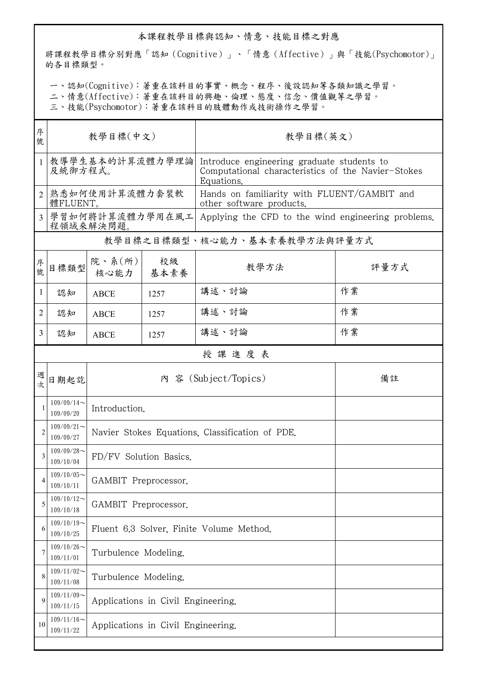## 本課程教學目標與認知、情意、技能目標之對應

將課程教學目標分別對應「認知(Cognitive)」、「情意(Affective)」與「技能(Psychomotor)」 的各目標類型。

一、認知(Cognitive):著重在該科目的事實、概念、程序、後設認知等各類知識之學習。

二、情意(Affective):著重在該科目的興趣、倫理、態度、信念、價值觀等之學習。

三、技能(Psychomotor):著重在該科目的肢體動作或技術操作之學習。

| 序<br>號         | 教學目標(中文)                     |                                                 |            | 教學目標(英文)                                                                                                       |      |  |
|----------------|------------------------------|-------------------------------------------------|------------|----------------------------------------------------------------------------------------------------------------|------|--|
| 1              | 教導學生基本的計算流體力學理論<br>及統御方程式。   |                                                 |            | Introduce engineering graduate students to<br>Computational characteristics of the Navier-Stokes<br>Equations. |      |  |
|                | 熟悉如何使用計算流體力套裝軟<br>體FLUENT。   |                                                 |            | Hands on familiarity with FLUENT/GAMBIT and<br>other software products.                                        |      |  |
| $\overline{3}$ | 學習如何將計算流體力學用在風工<br>程領域來解決問題。 |                                                 |            | Applying the CFD to the wind engineering problems.                                                             |      |  |
|                |                              |                                                 |            | 教學目標之目標類型、核心能力、基本素養教學方法與評量方式                                                                                   |      |  |
| 序號             | 目標類型                         | 院、系 $(\text{m})$<br>核心能力                        | 校級<br>基本素養 | 教學方法                                                                                                           | 評量方式 |  |
| 1              | 認知                           | <b>ABCE</b>                                     | 1257       | 講述、討論                                                                                                          | 作業   |  |
| $\overline{2}$ | 認知                           | <b>ABCE</b>                                     | 1257       | 講述、討論                                                                                                          | 作業   |  |
| 3              | 認知                           | <b>ABCE</b>                                     | 1257       | 講述、討論                                                                                                          | 作業   |  |
|                |                              |                                                 |            | 授課進度表                                                                                                          |      |  |
| 週<br>坎         | 日期起訖                         | 內 容 (Subject/Topics)<br>備註                      |            |                                                                                                                |      |  |
| 1              | $109/09/14$ ~<br>109/09/20   | Introduction.                                   |            |                                                                                                                |      |  |
| $\overline{2}$ | $109/09/21$ ~<br>109/09/27   | Navier Stokes Equations, Classification of PDE. |            |                                                                                                                |      |  |
| 3              | $109/09/28$ ~<br>109/10/04   | FD/FV Solution Basics.                          |            |                                                                                                                |      |  |
| 4              | $109/10/05$ ~<br>109/10/11   | GAMBIT Preprocessor.                            |            |                                                                                                                |      |  |
| 5              | $109/10/12$ ~<br>109/10/18   | GAMBIT Preprocessor.                            |            |                                                                                                                |      |  |
| 6              | $109/10/19$ ~<br>109/10/25   | Fluent 6.3 Solver, Finite Volume Method.        |            |                                                                                                                |      |  |
| 7              | $109/10/26$ ~<br>109/11/01   | Turbulence Modeling.                            |            |                                                                                                                |      |  |
| 8              | $109/11/02$ ~<br>109/11/08   | Turbulence Modeling.                            |            |                                                                                                                |      |  |
| 9              | $109/11/09$ ~<br>109/11/15   | Applications in Civil Engineering.              |            |                                                                                                                |      |  |
| 10             | $109/11/16$ ~<br>109/11/22   | Applications in Civil Engineering.              |            |                                                                                                                |      |  |
|                |                              |                                                 |            |                                                                                                                |      |  |